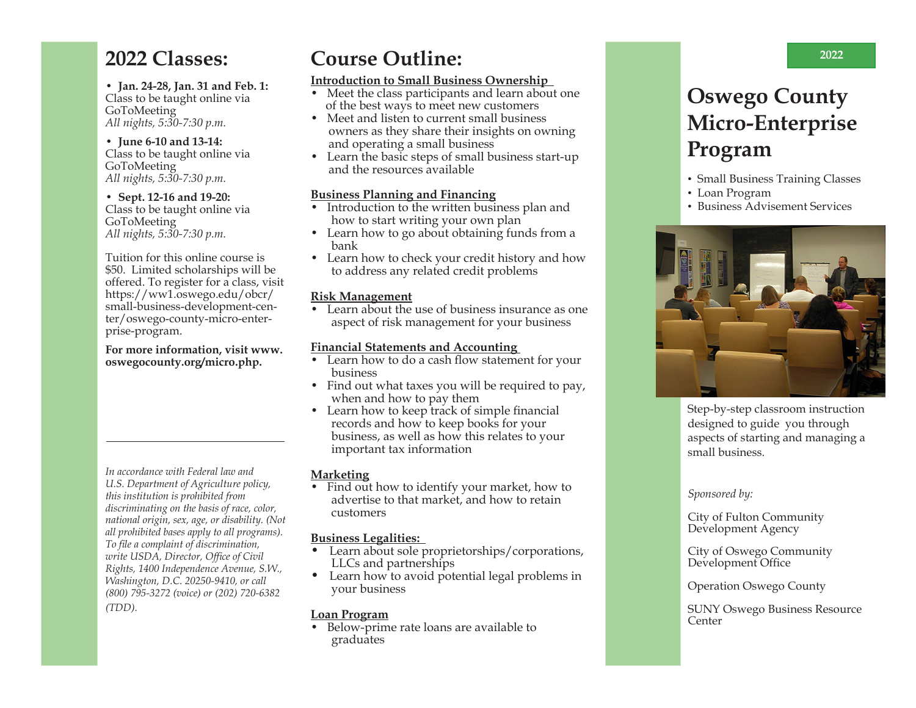### **2022 Classes:**

**• Jan. 24-28, Jan. 31 and Feb. 1:** Class to be taught online via GoToMeeting *All nights, 5:30-7:30 p.m.*

**• June 6-10 and 13-14:** Class to be taught online via GoToMeeting *All nights, 5:30-7:30 p.m.*

**• Sept. 12-16 and 19-20:** Class to be taught online via GoToMeeting *All nights, 5:30-7:30 p.m.*

Tuition for this online course is \$50. Limited scholarships will be offered. To register for a class, visit https://ww1.oswego.edu/obcr/ small-business-development-center/oswego-county-micro-enterprise-program.

**For more information, visit www. oswegocounty.org/micro.php.** 

*In accordance with Federal law and U.S. Department of Agriculture policy, this institution is prohibited from discriminating on the basis of race, color, national origin, sex, age, or disability. (Not all prohibited bases apply to all programs). To file a complaint of discrimination, write USDA, Director, Office of Civil Rights, 1400 Independence Avenue, S.W., Washington, D.C. 20250-9410, or call (800) 795-3272 (voice) or (202) 720-6382 (TDD).*

## **Course Outline:**

#### **Introduction to Small Business Ownership**

- Meet the class participants and learn about one of the best ways to meet new customers
- Meet and listen to current small business owners as they share their insights on owning and operating a small business
- Learn the basic steps of small business start-up and the resources available

#### **Business Planning and Financing**

- Introduction to the written business plan and how to start writing your own plan
- Learn how to go about obtaining funds from a bank
- Learn how to check your credit history and how to address any related credit problems

#### **Risk Management**

• Learn about the use of business insurance as one aspect of risk management for your business

#### **Financial Statements and Accounting**

- Learn how to do a cash flow statement for your business
- Find out what taxes you will be required to pay, when and how to pay them
- Learn how to keep track of simple financial records and how to keep books for your business, as well as how this relates to your important tax information

#### **Marketing**

• Find out how to identify your market, how to advertise to that market, and how to retain customers

#### **Business Legalities:**

- Learn about sole proprietorships/corporations, LLCs and partnerships
- Learn how to avoid potential legal problems in your business

#### **Loan Program**

• Below-prime rate loans are available to graduates

## **Oswego County Micro-Enterprise Program**

- Small Business Training Classes
- Loan Program
- Business Advisement Services



Step-by-step classroom instruction designed to guide you through aspects of starting and managing a small business.

#### *Sponsored by:*

City of Fulton Community Development Agency

City of Oswego Community Development Office

#### Operation Oswego County

SUNY Oswego Business Resource Center